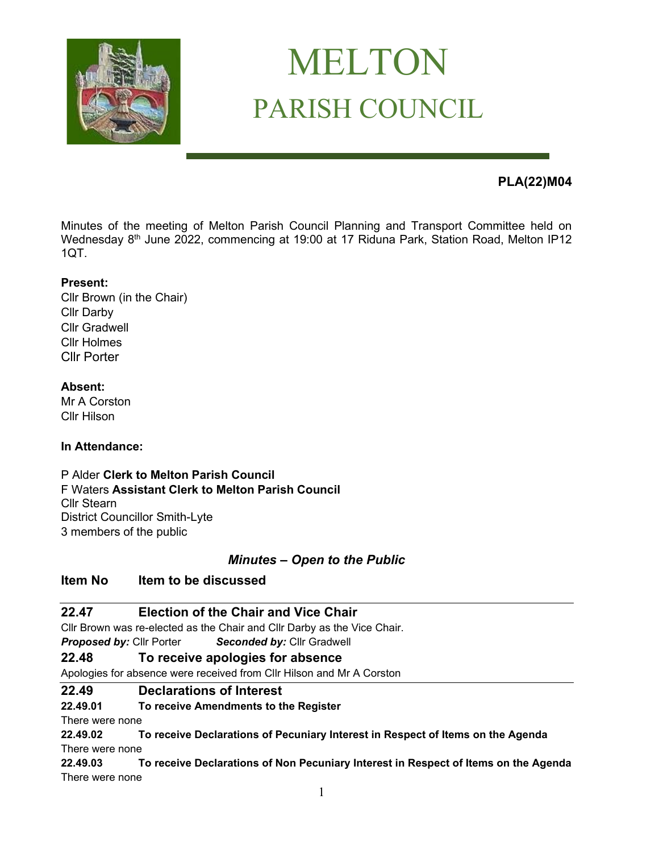

# MELTON PARISH COUNCIL

## **PLA(22)M04**

Minutes of the meeting of Melton Parish Council Planning and Transport Committee held on Wednesday 8<sup>th</sup> June 2022, commencing at 19:00 at 17 Riduna Park, Station Road, Melton IP12 1QT.

#### **Present:**

Cllr Brown (in the Chair) Cllr Darby Cllr Gradwell Cllr Holmes Cllr Porter

#### **Absent:**

Mr A Corston Cllr Hilson

#### **In Attendance:**

P Alder **Clerk to Melton Parish Council** F Waters **Assistant Clerk to Melton Parish Council** Cllr Stearn District Councillor Smith-Lyte 3 members of the public

#### *Minutes – Open to the Public*

#### **Item No Item to be discussed**

#### **22.47 Election of the Chair and Vice Chair**

Cllr Brown was re-elected as the Chair and Cllr Darby as the Vice Chair.

*Proposed by:* Cllr Porter *Seconded by:* Cllr Gradwell

#### **22.48 To receive apologies for absence**

Apologies for absence were received from Cllr Hilson and Mr A Corston

#### **22.49 Declarations of Interest**

**22.49.01 To receive Amendments to the Register**

There were none

**22.49.02 To receive Declarations of Pecuniary Interest in Respect of Items on the Agenda**  There were none

**22.49.03 To receive Declarations of Non Pecuniary Interest in Respect of Items on the Agenda** There were none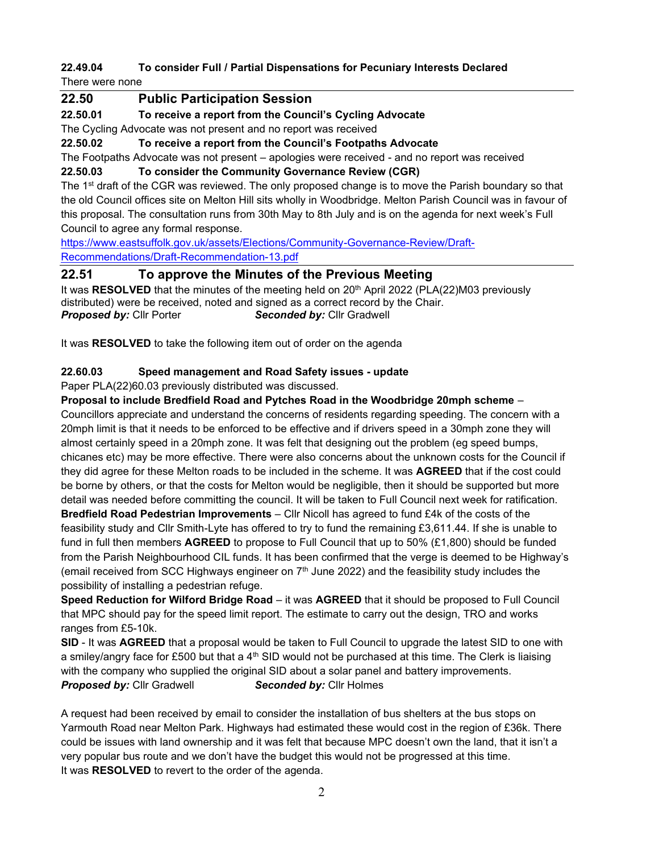## **22.49.04 To consider Full / Partial Dispensations for Pecuniary Interests Declared**

There were none

## **22.50 Public Participation Session 22.50.01 To receive a report from the Council's Cycling Advocate** The Cycling Advocate was not present and no report was received **22.50.02 To receive a report from the Council's Footpaths Advocate** The Footpaths Advocate was not present – apologies were received - and no report was received **22.50.03 To consider the Community Governance Review (CGR)** The 1<sup>st</sup> draft of the CGR was reviewed. The only proposed change is to move the Parish boundary so that the old Council offices site on Melton Hill sits wholly in Woodbridge. Melton Parish Council was in favour of this proposal. The consultation runs from 30th May to 8th July and is on the agenda for next week's Full Council to agree any formal response. [https://www.eastsuffolk.gov.uk/assets/Elections/Community-Governance-Review/Draft-](https://www.eastsuffolk.gov.uk/assets/Elections/Community-Governance-Review/Draft-Recommendations/Draft-Recommendation-13.pdf)[Recommendations/Draft-Recommendation-13.pdf](https://www.eastsuffolk.gov.uk/assets/Elections/Community-Governance-Review/Draft-Recommendations/Draft-Recommendation-13.pdf)

## **22.51 To approve the Minutes of the Previous Meeting**

It was RESOLVED that the minutes of the meeting held on 20<sup>th</sup> April 2022 (PLA(22)M03 previously distributed) were be received, noted and signed as a correct record by the Chair. *Proposed by:* Cllr Porter *Seconded by:* Cllr Gradwell

It was **RESOLVED** to take the following item out of order on the agenda

#### **22.60.03 Speed management and Road Safety issues - update**

Paper PLA(22)60.03 previously distributed was discussed.

#### **Proposal to include Bredfield Road and Pytches Road in the Woodbridge 20mph scheme** –

Councillors appreciate and understand the concerns of residents regarding speeding. The concern with a 20mph limit is that it needs to be enforced to be effective and if drivers speed in a 30mph zone they will almost certainly speed in a 20mph zone. It was felt that designing out the problem (eg speed bumps, chicanes etc) may be more effective. There were also concerns about the unknown costs for the Council if they did agree for these Melton roads to be included in the scheme. It was **AGREED** that if the cost could be borne by others, or that the costs for Melton would be negligible, then it should be supported but more detail was needed before committing the council. It will be taken to Full Council next week for ratification. **Bredfield Road Pedestrian Improvements** – Cllr Nicoll has agreed to fund £4k of the costs of the feasibility study and Cllr Smith-Lyte has offered to try to fund the remaining £3,611.44. If she is unable to fund in full then members **AGREED** to propose to Full Council that up to 50% (£1,800) should be funded from the Parish Neighbourhood CIL funds. It has been confirmed that the verge is deemed to be Highway's (email received from SCC Highways engineer on  $7<sup>th</sup>$  June 2022) and the feasibility study includes the possibility of installing a pedestrian refuge.

**Speed Reduction for Wilford Bridge Road** – it was **AGREED** that it should be proposed to Full Council that MPC should pay for the speed limit report. The estimate to carry out the design, TRO and works ranges from £5-10k.

**SID** - It was **AGREED** that a proposal would be taken to Full Council to upgrade the latest SID to one with a smiley/angry face for £500 but that a  $4<sup>th</sup>$  SID would not be purchased at this time. The Clerk is liaising with the company who supplied the original SID about a solar panel and battery improvements. *Proposed by:* Cllr Gradwell *Seconded by:* Cllr Holmes

A request had been received by email to consider the installation of bus shelters at the bus stops on Yarmouth Road near Melton Park. Highways had estimated these would cost in the region of £36k. There could be issues with land ownership and it was felt that because MPC doesn't own the land, that it isn't a very popular bus route and we don't have the budget this would not be progressed at this time. It was **RESOLVED** to revert to the order of the agenda.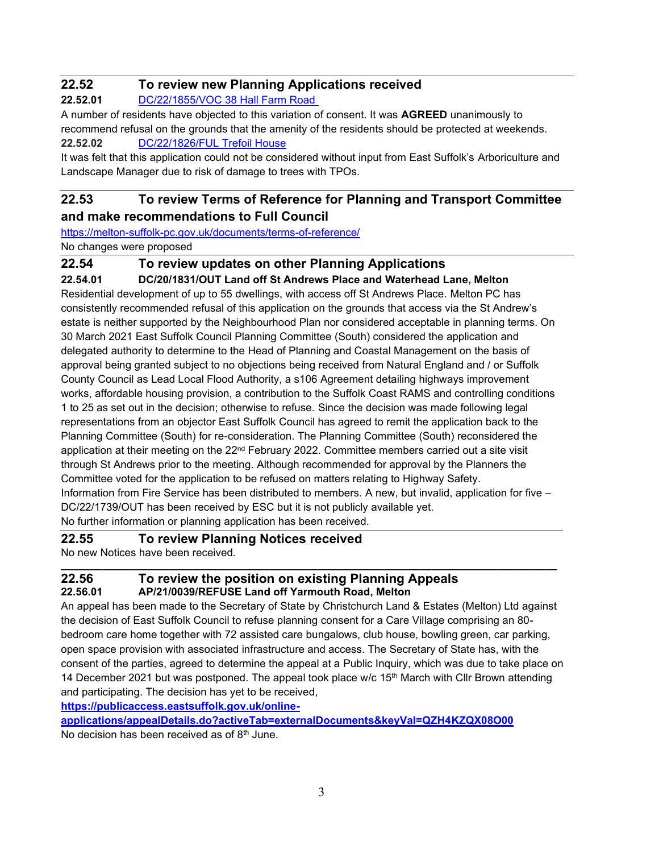## **22.52 To review new Planning Applications received**

**22.52.01** [DC/22/1855/VOC 38 Hall Farm Road](https://publicaccess.eastsuffolk.gov.uk/online-applications/applicationDetails.do?activeTab=summary&keyVal=RBEMBFQXKUC00)

A number of residents have objected to this variation of consent. It was **AGREED** unanimously to recommend refusal on the grounds that the amenity of the residents should be protected at weekends. **22.52.02** [DC/22/1826/FUL Trefoil House](https://publicaccess.eastsuffolk.gov.uk/online-applications/applicationDetails.do?activeTab=summary&keyVal=RBCX64QXKSL00)

It was felt that this application could not be considered without input from East Suffolk's Arboriculture and Landscape Manager due to risk of damage to trees with TPOs.

## **22.53 To review Terms of Reference for Planning and Transport Committee and make recommendations to Full Council**

<https://melton-suffolk-pc.gov.uk/documents/terms-of-reference/>

No changes were proposed

## **22.54 To review updates on other Planning Applications**

**22.54.01 DC/20/1831/OUT Land off St Andrews Place and Waterhead Lane, Melton** Residential development of up to 55 dwellings, with access off St Andrews Place. Melton PC has consistently recommended refusal of this application on the grounds that access via the St Andrew's estate is neither supported by the Neighbourhood Plan nor considered acceptable in planning terms. On 30 March 2021 East Suffolk Council Planning Committee (South) considered the application and delegated authority to determine to the Head of Planning and Coastal Management on the basis of approval being granted subject to no objections being received from Natural England and / or Suffolk County Council as Lead Local Flood Authority, a s106 Agreement detailing highways improvement works, affordable housing provision, a contribution to the Suffolk Coast RAMS and controlling conditions 1 to 25 as set out in the decision; otherwise to refuse. Since the decision was made following legal representations from an objector East Suffolk Council has agreed to remit the application back to the Planning Committee (South) for re-consideration. The Planning Committee (South) reconsidered the application at their meeting on the 22<sup>nd</sup> February 2022. Committee members carried out a site visit through St Andrews prior to the meeting. Although recommended for approval by the Planners the Committee voted for the application to be refused on matters relating to Highway Safety. Information from Fire Service has been distributed to members. A new, but invalid, application for five – DC/22/1739/OUT has been received by ESC but it is not publicly available yet. No further information or planning application has been received.

#### **22.55 To review Planning Notices received**

No new Notices have been received.

#### **22.56 To review the position on existing Planning Appeals 22.56.01 AP/21/0039/REFUSE Land off Yarmouth Road, Melton**

An appeal has been made to the Secretary of State by Christchurch Land & Estates (Melton) Ltd against the decision of East Suffolk Council to refuse planning consent for a Care Village comprising an 80 bedroom care home together with 72 assisted care bungalows, club house, bowling green, car parking, open space provision with associated infrastructure and access. The Secretary of State has, with the consent of the parties, agreed to determine the appeal at a Public Inquiry, which was due to take place on 14 December 2021 but was postponed. The appeal took place w/c  $15<sup>th</sup>$  March with Cllr Brown attending and participating. The decision has yet to be received,

**\_\_\_\_\_\_\_\_\_\_\_\_\_\_\_\_\_\_\_\_\_\_\_\_\_\_\_\_\_\_\_\_\_\_\_\_\_\_\_\_\_\_\_\_\_\_\_\_\_\_\_\_\_\_\_\_\_\_\_\_\_\_\_\_\_\_\_\_\_\_\_\_\_\_\_\_\_\_\_\_\_\_\_**

**[https://publicaccess.eastsuffolk.gov.uk/online-](https://publicaccess.eastsuffolk.gov.uk/online-applications/appealDetails.do?activeTab=externalDocuments&keyVal=QZH4KZQX08O00)**

**[applications/appealDetails.do?activeTab=externalDocuments&keyVal=QZH4KZQX08O00](https://publicaccess.eastsuffolk.gov.uk/online-applications/appealDetails.do?activeTab=externalDocuments&keyVal=QZH4KZQX08O00)** No decision has been received as of  $8<sup>th</sup>$  June.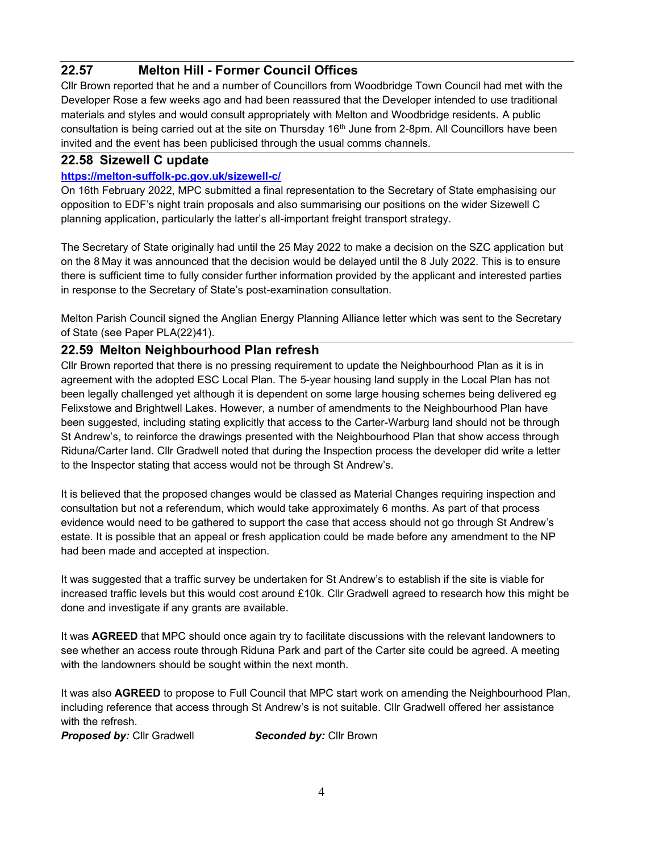## **22.57 Melton Hill - Former Council Offices**

Cllr Brown reported that he and a number of Councillors from Woodbridge Town Council had met with the Developer Rose a few weeks ago and had been reassured that the Developer intended to use traditional materials and styles and would consult appropriately with Melton and Woodbridge residents. A public consultation is being carried out at the site on Thursday 16<sup>th</sup> June from 2-8pm. All Councillors have been invited and the event has been publicised through the usual comms channels.

#### **22.58 Sizewell C update**

#### **<https://melton-suffolk-pc.gov.uk/sizewell-c/>**

On 16th February 2022, MPC submitted a final representation to the Secretary of State emphasising our opposition to EDF's night train proposals and also summarising our positions on the wider Sizewell C planning application, particularly the latter's all-important freight transport strategy.

The Secretary of State originally had until the 25 May 2022 to make a decision on the SZC application but on the 8 May it was announced that the decision would be delayed until the 8 July 2022. This is to ensure there is sufficient time to fully consider further information provided by the applicant and interested parties in response to the Secretary of State's post-examination consultation.

Melton Parish Council signed the Anglian Energy Planning Alliance letter which was sent to the Secretary of State (see Paper PLA(22)41).

#### **22.59 Melton Neighbourhood Plan refresh**

Cllr Brown reported that there is no pressing requirement to update the Neighbourhood Plan as it is in agreement with the adopted ESC Local Plan. The 5-year housing land supply in the Local Plan has not been legally challenged yet although it is dependent on some large housing schemes being delivered eg Felixstowe and Brightwell Lakes. However, a number of amendments to the Neighbourhood Plan have been suggested, including stating explicitly that access to the Carter-Warburg land should not be through St Andrew's, to reinforce the drawings presented with the Neighbourhood Plan that show access through Riduna/Carter land. Cllr Gradwell noted that during the Inspection process the developer did write a letter to the Inspector stating that access would not be through St Andrew's.

It is believed that the proposed changes would be classed as Material Changes requiring inspection and consultation but not a referendum, which would take approximately 6 months. As part of that process evidence would need to be gathered to support the case that access should not go through St Andrew's estate. It is possible that an appeal or fresh application could be made before any amendment to the NP had been made and accepted at inspection.

It was suggested that a traffic survey be undertaken for St Andrew's to establish if the site is viable for increased traffic levels but this would cost around £10k. Cllr Gradwell agreed to research how this might be done and investigate if any grants are available.

It was **AGREED** that MPC should once again try to facilitate discussions with the relevant landowners to see whether an access route through Riduna Park and part of the Carter site could be agreed. A meeting with the landowners should be sought within the next month.

It was also **AGREED** to propose to Full Council that MPC start work on amending the Neighbourhood Plan, including reference that access through St Andrew's is not suitable. Cllr Gradwell offered her assistance with the refresh.

*Proposed by:* Cllr Gradwell *Seconded by:* Cllr Brown